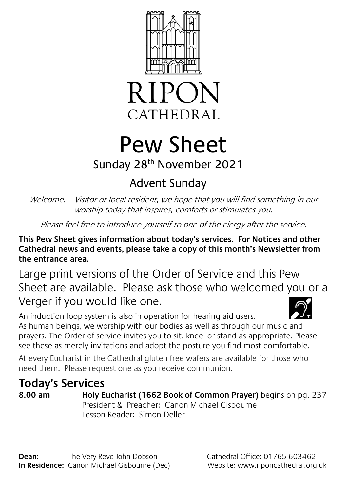



# Pew Sheet

### Sunday 28th November 2021

## Advent Sunday

Welcome. Visitor or local resident, we hope that you will find something in our worship today that inspires, comforts or stimulates you.

Please feel free to introduce yourself to one of the clergy after the service.

**This Pew Sheet gives information about today's services. For Notices and other Cathedral news and events, please take a copy of this month's Newsletter from the entrance area.** 

Large print versions of the Order of Service and this Pew Sheet are available. Please ask those who welcomed you or a Verger if you would like one.

An induction loop system is also in operation for hearing aid users. As human beings, we worship with our bodies as well as through our music and prayers. The Order of service invites you to sit, kneel or stand as appropriate. Please see these as merely invitations and adopt the posture you find most comfortable.

At every Eucharist in the Cathedral gluten free wafers are available for those who need them. Please request one as you receive communion.

## **Today's Services**

**8.00 am Holy Eucharist (1662 Book of Common Prayer)** begins on pg. 237 President & Preacher: Canon Michael Gisbourne Lesson Reader: Simon Deller